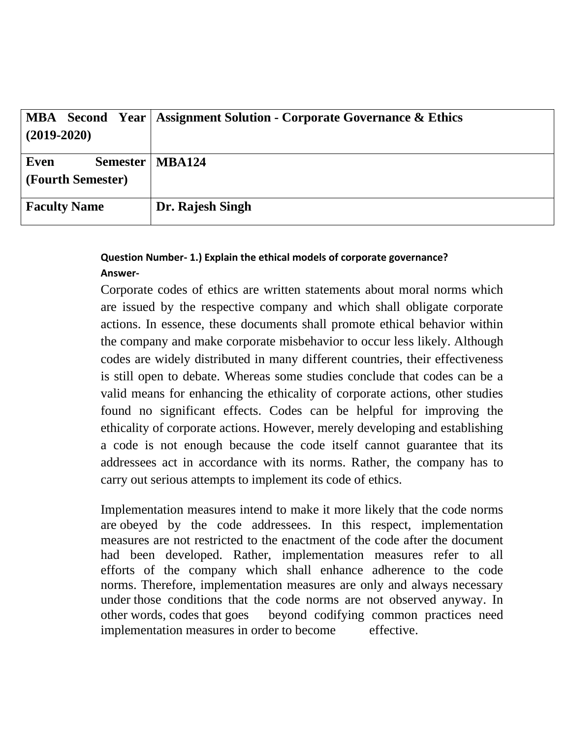| $(2019 - 2020)$                                | MBA Second Year   Assignment Solution - Corporate Governance & Ethics |
|------------------------------------------------|-----------------------------------------------------------------------|
| Even<br>Semester   MBA124<br>(Fourth Semester) |                                                                       |
| <b>Faculty Name</b>                            | Dr. Rajesh Singh                                                      |

#### **Question Number- 1.) Explain the ethical models of corporate governance? Answer-**

Corporate codes of ethics are written statements about moral norms which are issued by the respective company and which shall obligate corporate actions. In essence, these documents shall promote ethical behavior within the company and make corporate misbehavior to occur less likely. Although codes are widely distributed in many different countries, their effectiveness is still open to debate. Whereas some studies conclude that codes can be a valid means for enhancing the ethicality of corporate actions, other studies found no significant effects. Codes can be helpful for improving the ethicality of corporate actions. However, merely developing and establishing a code is not enough because the code itself cannot guarantee that its addressees act in accordance with its norms. Rather, the company has to carry out serious attempts to implement its code of ethics.

Implementation measures intend to make it more likely that the code norms are obeyed by the code addressees. In this respect, implementation measures are not restricted to the enactment of the code after the document had been developed. Rather, implementation measures refer to all efforts of the company which shall enhance adherence to the code norms. Therefore, implementation measures are only and always necessary under those conditions that the code norms are not observed anyway. In other words, codes that goes beyond codifying common practices need implementation measures in order to become effective.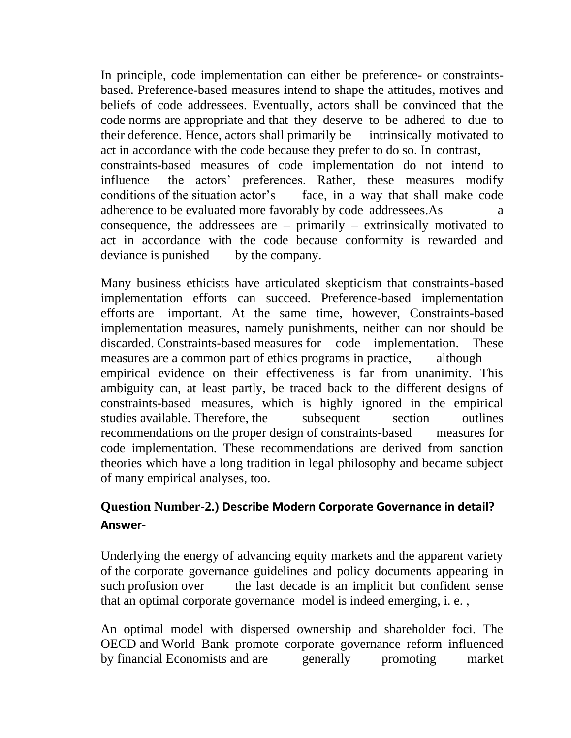In principle, code implementation can either be preference- or constraintsbased. Preference-based measures intend to shape the attitudes, motives and beliefs of code addressees. Eventually, actors shall be convinced that the code norms are appropriate and that they deserve to be adhered to due to their deference. Hence, actors shall primarily be intrinsically motivated to act in accordance with the code because they prefer to do so. In contrast, constraints-based measures of code implementation do not intend to influence the actors' preferences. Rather, these measures modify conditions of the situation actor's face, in a way that shall make code adherence to be evaluated more favorably by code addressees.As consequence, the addressees are – primarily – extrinsically motivated to act in accordance with the code because conformity is rewarded and deviance is punished by the company.

Many business ethicists have articulated skepticism that constraints-based implementation efforts can succeed. Preference-based implementation efforts are important. At the same time, however, Constraints-based implementation measures, namely punishments, neither can nor should be discarded. Constraints-based measures for code implementation. These measures are a common part of ethics programs in practice, although empirical evidence on their effectiveness is far from unanimity. This ambiguity can, at least partly, be traced back to the different designs of constraints-based measures, which is highly ignored in the empirical studies available. Therefore, the subsequent section outlines recommendations on the proper design of constraints-based measures for code implementation. These recommendations are derived from sanction theories which have a long tradition in legal philosophy and became subject of many empirical analyses, too.

## **Question Number-2.) Describe Modern Corporate Governance in detail? Answer-**

Underlying the energy of advancing equity markets and the apparent variety of the corporate governance guidelines and policy documents appearing in such profusion over the last decade is an implicit but confident sense that an optimal corporate governance model is indeed emerging, i. e. ,

An optimal model with dispersed ownership and shareholder foci. The OECD and World Bank promote corporate governance reform influenced by financial Economists and are generally promoting market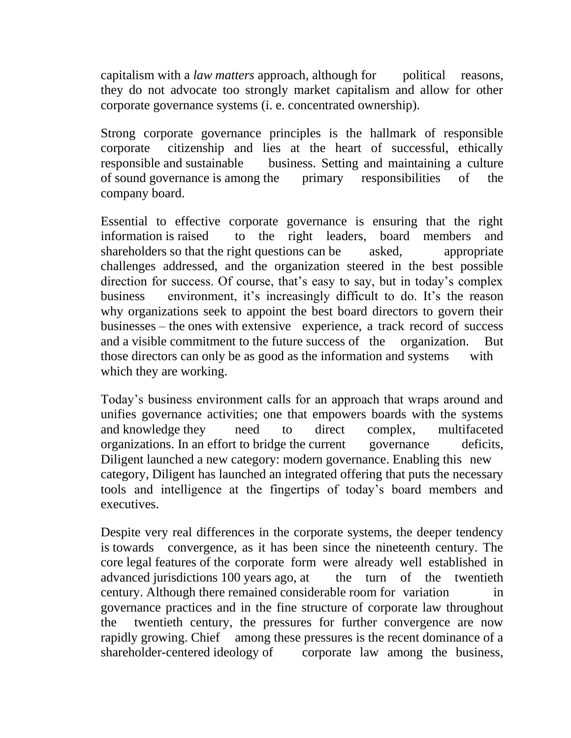capitalism with a *law matters* approach, although for political reasons, they do not advocate too strongly market capitalism and allow for other corporate governance systems (i. e. concentrated ownership).

Strong corporate governance principles is the hallmark of responsible corporate citizenship and lies at the heart of successful, ethically responsible and sustainable business. Setting and maintaining a culture of sound governance is among the primary responsibilities of the company board.

Essential to effective corporate governance is ensuring that the right information is raised to the right leaders, board members and shareholders so that the right questions can be asked, appropriate challenges addressed, and the organization steered in the best possible direction for success. Of course, that's easy to say, but in today's complex business environment, it's increasingly difficult to do. It's the reason why organizations seek to appoint the best board directors to govern their businesses – the ones with extensive experience, a track record of success and a visible commitment to the future success of the organization. But those directors can only be as good as the information and systems with which they are working.

Today's business environment calls for an approach that wraps around and unifies governance activities; one that empowers boards with the systems and knowledge they need to direct complex, multifaceted organizations. In an effort to bridge the current governance deficits, Diligent launched a new category: modern governance. Enabling this new category, Diligent has launched an integrated offering that puts the necessary tools and intelligence at the fingertips of today's board members and executives.

Despite very real differences in the corporate systems, the deeper tendency is towards convergence, as it has been since the nineteenth century. The core legal features of the corporate form were already well established in advanced jurisdictions 100 years ago, at the turn of the twentieth century. Although there remained considerable room for variation in governance practices and in the fine structure of corporate law throughout the twentieth century, the pressures for further convergence are now rapidly growing. Chief among these pressures is the recent dominance of a shareholder-centered ideology of corporate law among the business,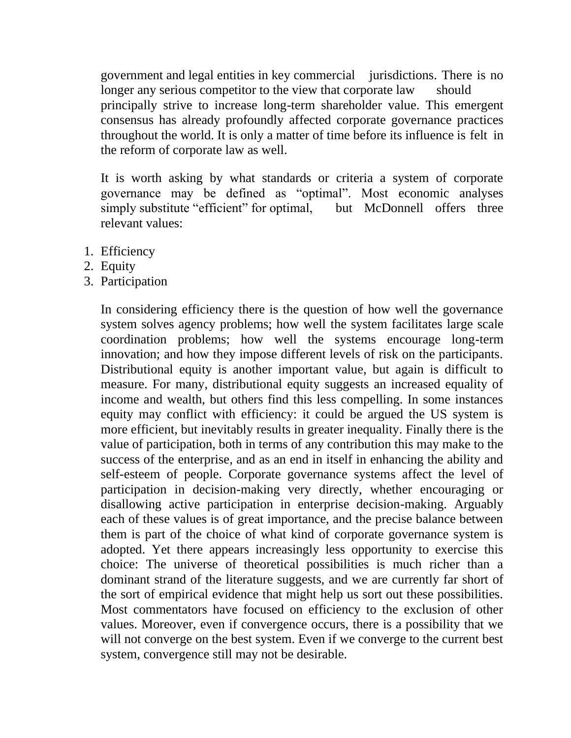government and legal entities in key commercial jurisdictions. There is no longer any serious competitor to the view that corporate law should principally strive to increase long-term shareholder value. This emergent consensus has already profoundly affected corporate governance practices throughout the world. It is only a matter of time before its influence is felt in the reform of corporate law as well.

It is worth asking by what standards or criteria a system of corporate governance may be defined as "optimal". Most economic analyses simply substitute "efficient" for optimal, but McDonnell offers three relevant values:

- 1. Efficiency
- 2. Equity
- 3. Participation

In considering efficiency there is the question of how well the governance system solves agency problems; how well the system facilitates large scale coordination problems; how well the systems encourage long-term innovation; and how they impose different levels of risk on the participants. Distributional equity is another important value, but again is difficult to measure. For many, distributional equity suggests an increased equality of income and wealth, but others find this less compelling. In some instances equity may conflict with efficiency: it could be argued the US system is more efficient, but inevitably results in greater inequality. Finally there is the value of participation, both in terms of any contribution this may make to the success of the enterprise, and as an end in itself in enhancing the ability and self-esteem of people. Corporate governance systems affect the level of participation in decision-making very directly, whether encouraging or disallowing active participation in enterprise decision-making. Arguably each of these values is of great importance, and the precise balance between them is part of the choice of what kind of corporate governance system is adopted. Yet there appears increasingly less opportunity to exercise this choice: The universe of theoretical possibilities is much richer than a dominant strand of the literature suggests, and we are currently far short of the sort of empirical evidence that might help us sort out these possibilities. Most commentators have focused on efficiency to the exclusion of other values. Moreover, even if convergence occurs, there is a possibility that we will not converge on the best system. Even if we converge to the current best system, convergence still may not be desirable.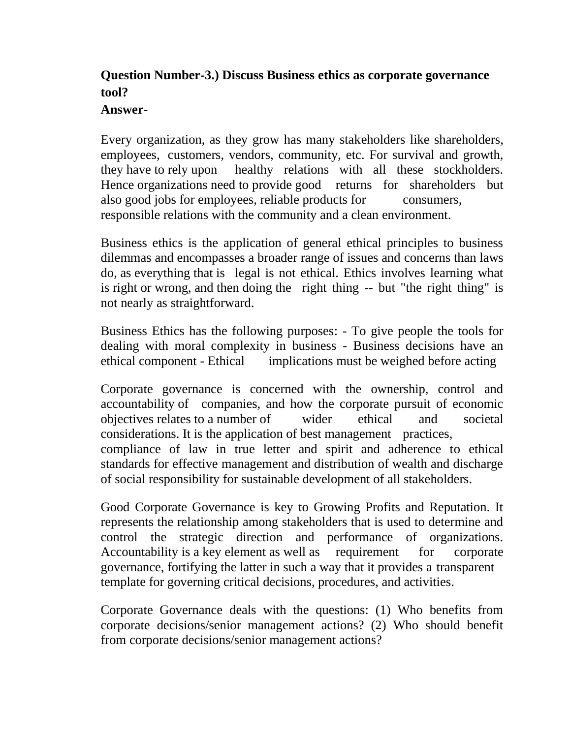# **Question Number-3.) Discuss Business ethics as corporate governance tool?**

#### **Answer-**

Every organization, as they grow has many stakeholders like shareholders, employees, customers, vendors, community, etc. For survival and growth, they have to rely upon healthy relations with all these stockholders. Hence organizations need to provide good returns for shareholders but also good jobs for employees, reliable products for consumers, responsible relations with the community and a clean environment.

Business ethics is the application of general ethical principles to business dilemmas and encompasses a broader range of issues and concerns than laws do, as everything that is legal is not ethical. Ethics involves learning what is right or wrong, and then doing the right thing -- but "the right thing" is not nearly as straightforward.

Business Ethics has the following purposes: - To give people the tools for dealing with moral complexity in business - Business decisions have an ethical component - Ethical implications must be weighed before acting

Corporate governance is concerned with the ownership, control and accountability of companies, and how the corporate pursuit of economic objectives relates to a number of wider ethical and societal considerations. It is the application of best management practices,

compliance of law in true letter and spirit and adherence to ethical standards for effective management and distribution of wealth and discharge of social responsibility for sustainable development of all stakeholders.

Good Corporate Governance is key to Growing Profits and Reputation. It represents the relationship among stakeholders that is used to determine and control the strategic direction and performance of organizations. Accountability is a key element as well as requirement for corporate governance, fortifying the latter in such a way that it provides a transparent template for governing critical decisions, procedures, and activities.

Corporate Governance deals with the questions: (1) Who benefits from corporate decisions/senior management actions? (2) Who should benefit from corporate decisions/senior management actions?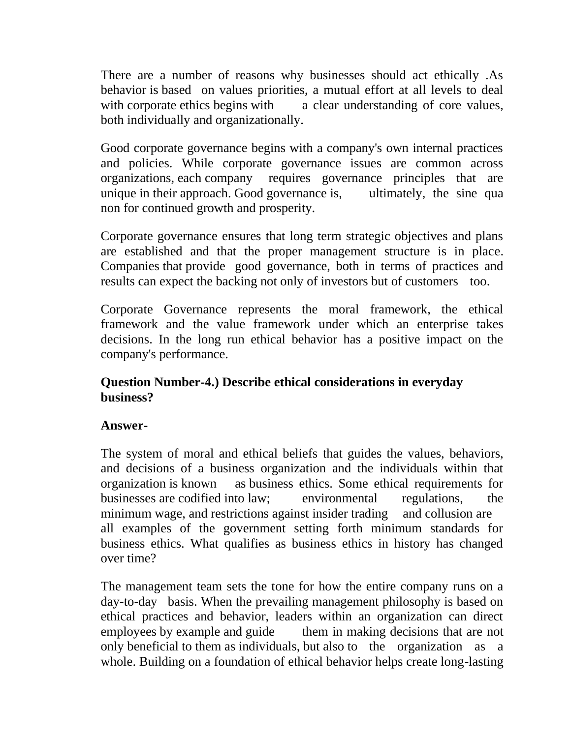There are a number of reasons why businesses should act ethically .As behavior is based on values priorities, a mutual effort at all levels to deal with corporate ethics begins with a clear understanding of core values, both individually and organizationally.

Good corporate governance begins with a company's own internal practices and policies. While corporate governance issues are common across organizations, each company requires governance principles that are unique in their approach. Good governance is, ultimately, the sine qua non for continued growth and prosperity.

Corporate governance ensures that long term strategic objectives and plans are established and that the proper management structure is in place. Companies that provide good governance, both in terms of practices and results can expect the backing not only of investors but of customers too.

Corporate Governance represents the moral framework, the ethical framework and the value framework under which an enterprise takes decisions. In the long run ethical behavior has a positive impact on the company's performance.

#### **Question Number-4.) Describe ethical considerations in everyday business?**

### **Answer-**

The system of moral and ethical beliefs that guides the values, behaviors, and decisions of a business organization and the individuals within that organization is known as business ethics. Some ethical requirements for businesses are codified into law; environmental regulations, the minimum wage, and restrictions against insider trading and collusion are all examples of the government setting forth minimum standards for business ethics. What qualifies as business ethics in history has changed over time?

The management team sets the tone for how the entire company runs on a day-to-day basis. When the prevailing management philosophy is based on ethical practices and behavior, leaders within an organization can direct employees by example and guide them in making decisions that are not only beneficial to them as individuals, but also to the organization as a whole. Building on a foundation of ethical behavior helps create long-lasting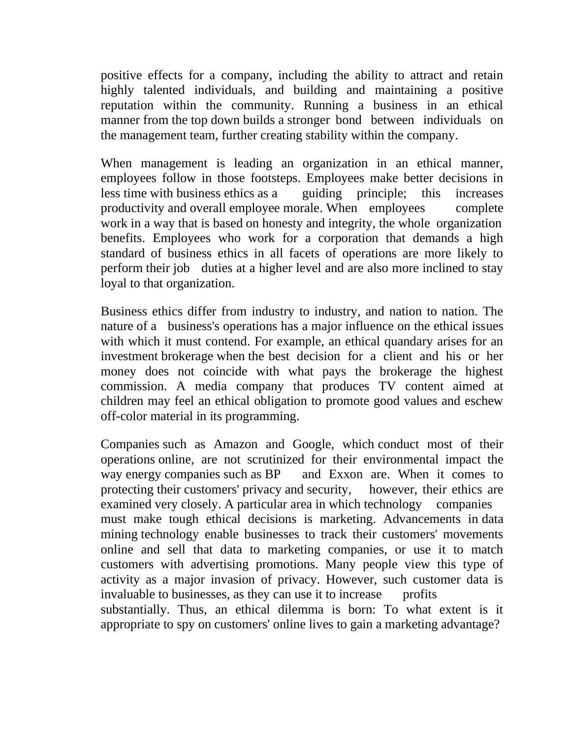positive effects for a company, including the ability to attract and retain highly talented individuals, and building and maintaining a positive reputation within the community. Running a business in an ethical manner from the top down builds a stronger bond between individuals on the management team, further creating stability within the company.

When management is leading an organization in an ethical manner, employees follow in those footsteps. Employees make better decisions in less time with business ethics as a guiding principle; this increases productivity and overall employee morale. When employees complete work in a way that is based on honesty and integrity, the whole organization benefits. Employees who work for a corporation that demands a high standard of business ethics in all facets of operations are more likely to perform their job duties at a higher level and are also more inclined to stay loyal to that organization.

Business ethics differ from industry to industry, and nation to nation. The nature of a business's operations has a major influence on the ethical issues with which it must contend. For example, an ethical quandary arises for an investment brokerage when the best decision for a client and his or her money does not coincide with what pays the brokerage the highest commission. A media company that produces TV content aimed at children may feel an ethical obligation to promote good values and eschew off-color material in its programming.

Companies such as Amazon and Google, which conduct most of their operations online, are not scrutinized for their environmental impact the way energy companies such as BP and Exxon are. When it comes to protecting their customers' privacy and security, however, their ethics are examined very closely. A particular area in which technology companies must make tough ethical decisions is marketing. Advancements in data mining technology enable businesses to track their customers' movements online and sell that data to marketing companies, or use it to match customers with advertising promotions. Many people view this type of activity as a major invasion of privacy. However, such customer data is invaluable to businesses, as they can use it to increase profits substantially. Thus, an ethical dilemma is born: To what extent is it appropriate to spy on customers' online lives to gain a marketing advantage?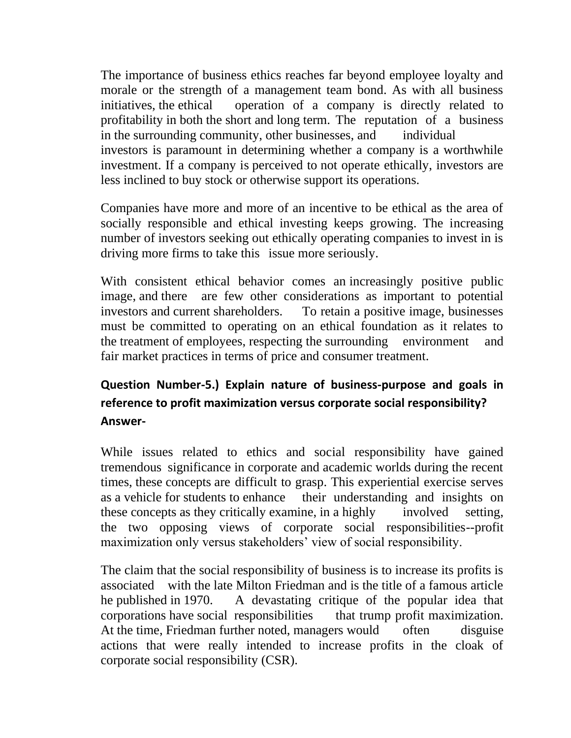The importance of business ethics reaches far beyond employee loyalty and morale or the strength of a management team bond. As with all business initiatives, the ethical operation of a company is directly related to profitability in both the short and long term. The reputation of a business in the surrounding community, other businesses, and individual investors is paramount in determining whether a company is a worthwhile investment. If a company is perceived to not operate ethically, investors are less inclined to buy stock or otherwise support its operations.

Companies have more and more of an incentive to be ethical as the area of socially responsible and ethical investing keeps growing. The increasing number of investors seeking out ethically operating companies to invest in is driving more firms to take this issue more seriously.

With consistent ethical behavior comes an increasingly positive public image, and there are few other considerations as important to potential investors and current shareholders. To retain a positive image, businesses must be committed to operating on an ethical foundation as it relates to the treatment of employees, respecting the surrounding environment and fair market practices in terms of price and consumer treatment.

# **Question Number-5.) Explain nature of business-purpose and goals in reference to profit maximization versus corporate social responsibility? Answer-**

While issues related to ethics and social responsibility have gained tremendous significance in corporate and academic worlds during the recent times, these concepts are difficult to grasp. This experiential exercise serves as a vehicle for students to enhance their understanding and insights on these concepts as they critically examine, in a highly involved setting, the two opposing views of corporate social responsibilities--profit maximization only versus stakeholders' view of social responsibility.

The claim that the social responsibility of business is to increase its profits is associated with the late Milton Friedman and is the title of a famous article he published in 1970. A devastating critique of the popular idea that corporations have social responsibilities that trump profit maximization. At the time, Friedman further noted, managers would often disguise actions that were really intended to increase profits in the cloak of corporate social responsibility (CSR).